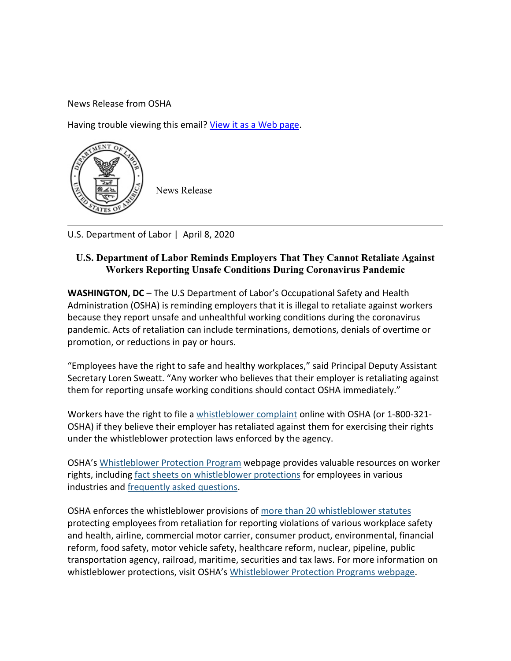News Release from OSHA

Having trouble viewing this email? [View it as a Web page.](https://lnks.gd/l/eyJhbGciOiJIUzI1NiJ9.eyJidWxsZXRpbl9saW5rX2lkIjoxMDAsInVyaSI6ImJwMjpjbGljayIsImJ1bGxldGluX2lkIjoiMjAyMDA0MDguMTk5MDcxODEiLCJ1cmwiOiJodHRwczovL2NvbnRlbnQuZ292ZGVsaXZlcnkuY29tL2FjY291bnRzL1VTRE9ML2J1bGxldGlucy8yODU4NDE5In0.Gb9WribeiVr_3ShZM1ZwBt_IXjpUFs4xXBMcBt_VRNc/br/77160904369-l)



U.S. Department of Labor | April 8, 2020

## **U.S. Department of Labor Reminds Employers That They Cannot Retaliate Against Workers Reporting Unsafe Conditions During Coronavirus Pandemic**

**WASHINGTON, DC** – The U.S Department of Labor's Occupational Safety and Health Administration (OSHA) is reminding employers that it is illegal to retaliate against workers because they report unsafe and unhealthful working conditions during the coronavirus pandemic. Acts of retaliation can include terminations, demotions, denials of overtime or promotion, or reductions in pay or hours.

"Employees have the right to safe and healthy workplaces," said Principal Deputy Assistant Secretary Loren Sweatt. "Any worker who believes that their employer is retaliating against them for reporting unsafe working conditions should contact OSHA immediately."

Workers have the right to file a [whistleblower complaint](https://lnks.gd/l/eyJhbGciOiJIUzI1NiJ9.eyJidWxsZXRpbl9saW5rX2lkIjoxMDEsInVyaSI6ImJwMjpjbGljayIsImJ1bGxldGluX2lkIjoiMjAyMDA0MDguMTk5MDcxODEiLCJ1cmwiOiJodHRwczovL3d3dy5vc2hhLmdvdi93aGlzdGxlYmxvd2VyL1dCQ29tcGxhaW50Lmh0bWwifQ.feTvSA77OaXx9neUgTYHrQiuoLodTkuImeJ9PrK4fPo/br/77160904369-l) online with OSHA (or 1-800-321- OSHA) if they believe their employer has retaliated against them for exercising their rights under the whistleblower protection laws enforced by the agency.

OSHA's [Whistleblower Protection Program](https://lnks.gd/l/eyJhbGciOiJIUzI1NiJ9.eyJidWxsZXRpbl9saW5rX2lkIjoxMDIsInVyaSI6ImJwMjpjbGljayIsImJ1bGxldGluX2lkIjoiMjAyMDA0MDguMTk5MDcxODEiLCJ1cmwiOiJodHRwczovL3d3dy53aGlzdGxlYmxvd2Vycy5nb3YvIn0.qiwR-6g1MXsifCg0_PhxNKUaiLrzqmX8Zo8tTqwgjYM/br/77160904369-l) webpage provides valuable resources on worker rights, including [fact sheets on whistleblower protections](https://lnks.gd/l/eyJhbGciOiJIUzI1NiJ9.eyJidWxsZXRpbl9saW5rX2lkIjoxMDMsInVyaSI6ImJwMjpjbGljayIsImJ1bGxldGluX2lkIjoiMjAyMDA0MDguMTk5MDcxODEiLCJ1cmwiOiJodHRwczovL3d3dy5vc2hhLmdvdi9wbHMvcHVibGljYXRpb25zL3B1YmxpY2F0aW9uLmF0aHJ1ej9wVHlwZT1JbmR1c3RyeSZwSUQ9MjI1In0.EhtnsMVI8GkvzewSUQ5BCN_Jc6c3b5IDhbQ4_4v1rtQ/br/77160904369-l) for employees in various industries and [frequently asked questions.](https://lnks.gd/l/eyJhbGciOiJIUzI1NiJ9.eyJidWxsZXRpbl9saW5rX2lkIjoxMDQsInVyaSI6ImJwMjpjbGljayIsImJ1bGxldGluX2lkIjoiMjAyMDA0MDguMTk5MDcxODEiLCJ1cmwiOiJodHRwczovL3d3dy53aGlzdGxlYmxvd2Vycy5nb3YvZmFxIn0.gsErfR2jh19wpDASt6TaJsS_wa8Nx8mVk2N-F6rDm-k/br/77160904369-l)

OSHA enforces the whistleblower provisions of [more than 20 whistleblower statutes](https://lnks.gd/l/eyJhbGciOiJIUzI1NiJ9.eyJidWxsZXRpbl9saW5rX2lkIjoxMDUsInVyaSI6ImJwMjpjbGljayIsImJ1bGxldGluX2lkIjoiMjAyMDA0MDguMTk5MDcxODEiLCJ1cmwiOiJodHRwczovL3d3dy53aGlzdGxlYmxvd2Vycy5nb3Yvd2hpc3RsZWJsb3dlcl9hY3RzLWRlc2tfcmVmZXJlbmNlIn0.Zb3nzwraEjfHd4imbOBu8RBvo4vYVu-X8ymOq7hsx4k/br/77160904369-l) protecting employees from retaliation for reporting violations of various workplace safety and health, airline, commercial motor carrier, consumer product, environmental, financial reform, food safety, motor vehicle safety, healthcare reform, nuclear, pipeline, public transportation agency, railroad, maritime, securities and tax laws. For more information on whistleblower protections, visit OSHA's [Whistleblower Protection Programs webpage.](https://lnks.gd/l/eyJhbGciOiJIUzI1NiJ9.eyJidWxsZXRpbl9saW5rX2lkIjoxMDYsInVyaSI6ImJwMjpjbGljayIsImJ1bGxldGluX2lkIjoiMjAyMDA0MDguMTk5MDcxODEiLCJ1cmwiOiJodHRwczovL3d3dy53aGlzdGxlYmxvd2Vycy5nb3Yvc3RhdHV0ZXMifQ.0NdVtGlK7oayeclwiOq7rOPZcLJewQgWR0Q5PeNbTPg/br/77160904369-l)